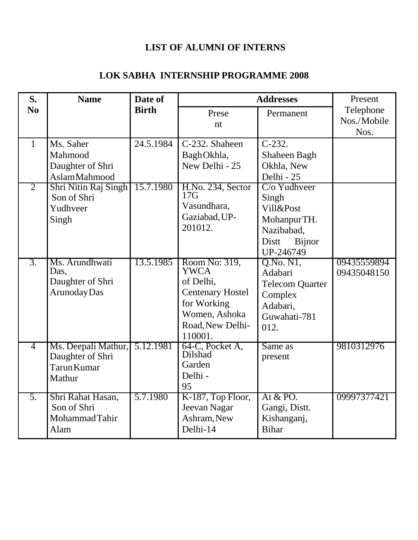#### **LIST OF ALUMNI OF INTERNS**

#### **LOK SABHA INTERNSHIP PROGRAMME 2008**

| S.                             | <b>Name</b>                                                                                                                 | Date of                | <b>Addresses</b>                                                                                                                    | Present                                                                                                                                           |                            |
|--------------------------------|-----------------------------------------------------------------------------------------------------------------------------|------------------------|-------------------------------------------------------------------------------------------------------------------------------------|---------------------------------------------------------------------------------------------------------------------------------------------------|----------------------------|
| N <sub>0</sub>                 |                                                                                                                             | <b>Birth</b>           | Prese                                                                                                                               | Permanent                                                                                                                                         | Telephone<br>Nos./Mobile   |
|                                |                                                                                                                             |                        | nt                                                                                                                                  |                                                                                                                                                   | Nos.                       |
| $\mathbf{1}$<br>$\overline{2}$ | Ms. Saher<br>Mahmood<br>Daughter of Shri<br><b>AslamMahmood</b><br>Shri Nitin Raj Singh<br>Son of Shri<br>Yudhveer<br>Singh | 24.5.1984<br>15.7.1980 | C-232. Shaheen<br>BaghOkhla,<br>New Delhi - 25<br>H.No. 234, Sector<br>17G<br>Vasundhara,<br>Gaziabad, UP-<br>201012.               | $C-232.$<br>Shaheen Bagh<br>Okhla, New<br>Delhi - 25<br>C/o Yudhveer<br>Singh<br>Vill&Post<br>MohanpurTH.<br>Nazibabad,<br>Distt<br><b>Bijnor</b> |                            |
| $\overline{3}$ .               | Ms. Arundhwati<br>Das,<br>Daughter of Shri<br>Arunoday Das                                                                  | 13.5.1985              | Room No: 319,<br><b>YWCA</b><br>of Delhi,<br><b>Centenary Hostel</b><br>for Working<br>Women, Ashoka<br>Road, New Delhi-<br>110001. | UP-246749<br>Q.No.N1,<br>Adabari<br><b>Telecom Quarter</b><br>Complex<br>Adabari,<br>Guwahati-781<br>012.                                         | 09435559894<br>09435048150 |
| $\overline{4}$                 | Ms. Deepali Mathur,<br>Daughter of Shri<br>Tarun Kumar<br>Mathur                                                            | 5.12.1981              | 64-C, Pocket A,<br>Dilshad<br>Garden<br>Delhi -<br>95                                                                               | Same as<br>present                                                                                                                                | 9810312976                 |
| 5.                             | Shri Rahat Hasan,<br>Son of Shri<br>MohammadTahir<br>Alam                                                                   | 5.7.1980               | K-187, Top Floor,<br>Jeevan Nagar<br>Ashram, New<br>Delhi-14                                                                        | At $&$ PO.<br>Gangi, Distt.<br>Kishanganj,<br><b>Bihar</b>                                                                                        | 09997377421                |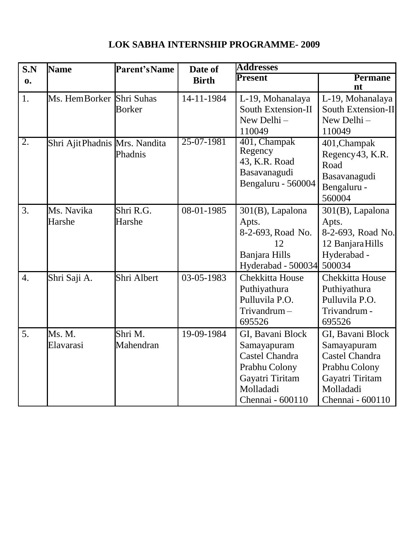# **LOK SABHA INTERNSHIP PROGRAMME- 2009**

| S.N              | <b>Name</b>                   | <b>Parent's Name</b> | Date of      | <b>Addresses</b>                                                                                                              |                                                                                                                               |
|------------------|-------------------------------|----------------------|--------------|-------------------------------------------------------------------------------------------------------------------------------|-------------------------------------------------------------------------------------------------------------------------------|
| $\mathbf{0}$ .   |                               |                      | <b>Birth</b> | <b>Present</b>                                                                                                                | <b>Permane</b><br>nt                                                                                                          |
| 1.               | Ms. Hem Borker Shri Suhas     | <b>Borker</b>        | 14-11-1984   | L-19, Mohanalaya<br>South Extension-II<br>New Delhi-<br>110049                                                                | L-19, Mohanalaya<br>South Extension-II<br>New Delhi-<br>110049                                                                |
| $\overline{2}$ . | Shri AjitPhadnis Mrs. Nandita | Phadnis              | 25-07-1981   | 401, Champak<br>Regency<br>43, K.R. Road<br>Basavanagudi<br>Bengaluru - 560004                                                | 401, Champak<br>Regency 43, K.R.<br>Road<br>Basavanagudi<br>Bengaluru -<br>560004                                             |
| 3.               | Ms. Navika<br>Harshe          | Shri R.G.<br>Harshe  | 08-01-1985   | $301(B)$ , Lapalona<br>Apts.<br>8-2-693, Road No.<br>12<br>Banjara Hills<br>Hyderabad - 500034                                | $301(B)$ , Lapalona<br>Apts.<br>8-2-693, Road No.<br>12 Banjara Hills<br>Hyderabad -<br>500034                                |
| $\overline{4}$ . | Shri Saji A.                  | Shri Albert          | 03-05-1983   | <b>Chekkitta House</b><br>Puthiyathura<br>Pulluvila P.O.<br>Trivandrum-<br>695526                                             | <b>Chekkitta House</b><br>Puthiyathura<br>Pulluvila P.O.<br>Trivandrum -<br>695526                                            |
| 5.               | Ms. M.<br>Elavarasi           | Shri M.<br>Mahendran | 19-09-1984   | GI, Bavani Block<br>Samayapuram<br><b>Castel Chandra</b><br>Prabhu Colony<br>Gayatri Tiritam<br>Molladadi<br>Chennai - 600110 | GI, Bavani Block<br>Samayapuram<br><b>Castel Chandra</b><br>Prabhu Colony<br>Gayatri Tiritam<br>Molladadi<br>Chennai - 600110 |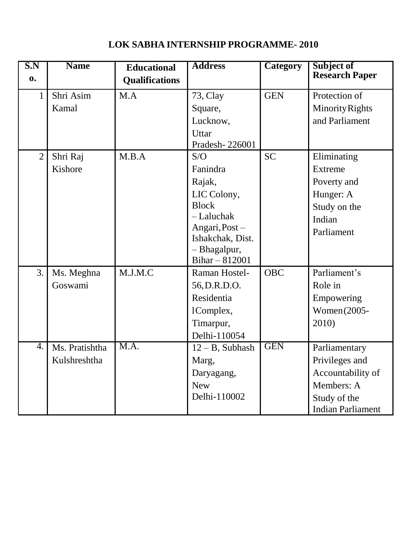# **LOK SABHA INTERNSHIP PROGRAMME- 2010**

| S.N<br>$\mathbf{0}$ | <b>Name</b>    | <b>Educational</b><br><b>Qualifications</b> | <b>Address</b>                   | <b>Category</b> | Subject of<br><b>Research Paper</b> |
|---------------------|----------------|---------------------------------------------|----------------------------------|-----------------|-------------------------------------|
| 1                   | Shri Asim      | M.A                                         | 73, Clay                         | <b>GEN</b>      | Protection of                       |
|                     | Kamal          |                                             | Square,                          |                 | <b>Minority Rights</b>              |
|                     |                |                                             | Lucknow,                         |                 | and Parliament                      |
|                     |                |                                             | Uttar                            |                 |                                     |
|                     |                |                                             | Pradesh-226001                   |                 |                                     |
| $\overline{2}$      | Shri Raj       | M.B.A                                       | S/O                              | <b>SC</b>       | Eliminating                         |
|                     | Kishore        |                                             | Fanindra                         |                 | Extreme                             |
|                     |                |                                             | Rajak,                           |                 | Poverty and                         |
|                     |                |                                             | LIC Colony,                      |                 | Hunger: A                           |
|                     |                |                                             | <b>Block</b>                     |                 | Study on the                        |
|                     |                |                                             | - Laluchak                       |                 | Indian                              |
|                     |                |                                             | Angari, Post -                   |                 | Parliament                          |
|                     |                |                                             | Ishakchak, Dist.<br>- Bhagalpur, |                 |                                     |
|                     |                |                                             | Bihar $-812001$                  |                 |                                     |
| 3.                  | Ms. Meghna     | M.J.M.C                                     | Raman Hostel-                    | <b>OBC</b>      | Parliament's                        |
|                     | Goswami        |                                             | 56, D.R.D.O.                     |                 | Role in                             |
|                     |                |                                             | Residentia                       |                 | Empowering                          |
|                     |                |                                             | 1Complex,                        |                 | Women (2005-                        |
|                     |                |                                             | Timarpur,                        |                 | 2010)                               |
|                     |                |                                             | Delhi-110054                     |                 |                                     |
| 4.                  | Ms. Pratishtha | M.A.                                        | $12 - B$ , Subhash               | <b>GEN</b>      | Parliamentary                       |
|                     | Kulshreshtha   |                                             | Marg,                            |                 | Privileges and                      |
|                     |                |                                             | Daryagang,                       |                 | Accountability of                   |
|                     |                |                                             | <b>New</b>                       |                 | Members: A                          |
|                     |                |                                             | Delhi-110002                     |                 | Study of the                        |
|                     |                |                                             |                                  |                 | <b>Indian Parliament</b>            |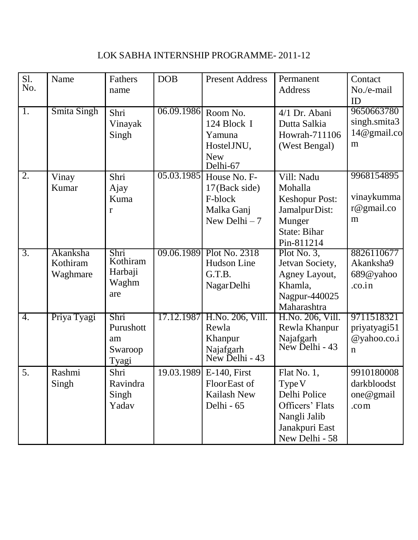# LOK SABHA INTERNSHIP PROGRAMME- 2011-12

| S1.<br>No.    | Name                             | Fathers<br>name                             | <b>DOB</b>          | <b>Present Address</b>                                                              | Permanent<br>Address                                                                                            | Contact<br>No./e-mail<br>ID                              |
|---------------|----------------------------------|---------------------------------------------|---------------------|-------------------------------------------------------------------------------------|-----------------------------------------------------------------------------------------------------------------|----------------------------------------------------------|
| <sup>1.</sup> | Smita Singh                      | Shri<br>Vinayak<br>Singh                    | 06.09.1986 Room No. | 124 Block I<br>Yamuna<br>Hostel JNU,<br><b>New</b><br>Delhi-67                      | 4/1 Dr. Abani<br>Dutta Salkia<br>Howrah-711106<br>(West Bengal)                                                 | 9650663780<br>singh.smita3<br>14@gmail.co<br>m           |
| 2.            | Vinay<br>Kumar                   | Shri<br>Ajay<br>Kuma<br>r                   |                     | 05.03.1985 House No. F-<br>17(Back side)<br>F-block<br>Malka Ganj<br>New Delhi $-7$ | Vill: Nadu<br>Mohalla<br><b>Keshopur Post:</b><br>Jamalpur Dist:<br>Munger<br><b>State: Bihar</b><br>Pin-811214 | 9968154895<br>vinaykumma<br>$r@$ gmail.co<br>m           |
| 3.            | Akanksha<br>Kothiram<br>Waghmare | Shri<br>Kothiram<br>Harbaji<br>Waghm<br>are |                     | 09.06.1989 Plot No. 2318<br>Hudson Line<br>G.T.B.<br>Nagar Delhi                    | Plot No. $3,$<br>Jetvan Society,<br>Agney Layout,<br>Khamla,<br>Nagpur-440025<br>Maharashtra                    | 8826110677<br>Akanksha9<br>689@yahoo<br>$\alpha$ .co.in  |
| 4.            | Priya Tyagi                      | Shri<br>Purushott<br>am<br>Swaroop<br>Tyagi |                     | 17.12.1987 H.No. 206, Vill.<br>Rewla<br>Khanpur<br>Najafgarh<br>New Delhi - 43      | H.No. 206, Vill.<br>Rewla Khanpur<br>Najafgarh<br>New Delhi - 43                                                | 9711518321<br>priyatyagi51<br>@yahoo.co.i<br>$\mathbf n$ |
| 5.            | Rashmi<br>Singh                  | Shri<br>Ravindra<br>Singh<br>Yadav          |                     | 19.03.1989 E-140, First<br>FloorEast of<br><b>Kailash New</b><br>Delhi - 65         | Flat No. 1,<br>Type V<br>Delhi Police<br>Officers' Flats<br>Nangli Jalib<br>Janakpuri East<br>New Delhi - 58    | 9910180008<br>darkbloodst<br>one@gmail<br>.com           |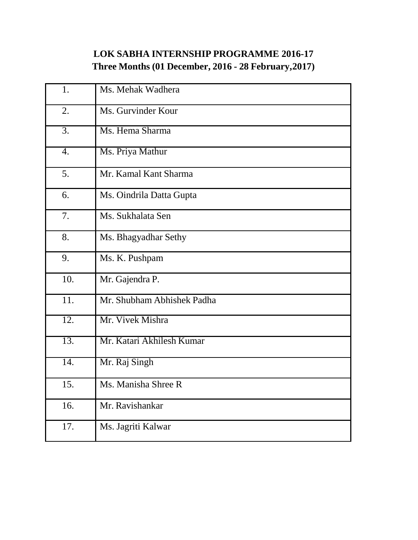# **LOK SABHA INTERNSHIP PROGRAMME 2016-17 Three Months (01 December, 2016 - 28 February,2017)**

| 1.  | Ms. Mehak Wadhera          |
|-----|----------------------------|
| 2.  | Ms. Gurvinder Kour         |
| 3.  | Ms. Hema Sharma            |
| 4.  | Ms. Priya Mathur           |
| 5.  | Mr. Kamal Kant Sharma      |
| 6.  | Ms. Oindrila Datta Gupta   |
| 7.  | Ms. Sukhalata Sen          |
| 8.  | Ms. Bhagyadhar Sethy       |
| 9.  | Ms. K. Pushpam             |
| 10. | Mr. Gajendra P.            |
| 11. | Mr. Shubham Abhishek Padha |
| 12. | Mr. Vivek Mishra           |
| 13. | Mr. Katari Akhilesh Kumar  |
| 14. | Mr. Raj Singh              |
| 15. | Ms. Manisha Shree R        |
| 16. | Mr. Ravishankar            |
| 17. | Ms. Jagriti Kalwar         |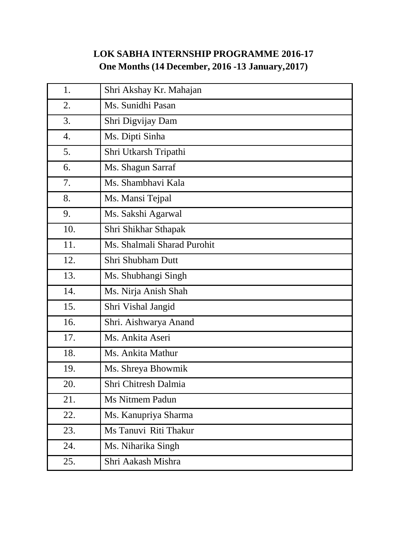# **LOK SABHA INTERNSHIP PROGRAMME 2016-17 One Months (14 December, 2016 -13 January,2017)**

| 1.  | Shri Akshay Kr. Mahajan     |
|-----|-----------------------------|
| 2.  | Ms. Sunidhi Pasan           |
| 3.  | Shri Digvijay Dam           |
| 4.  | Ms. Dipti Sinha             |
| 5.  | Shri Utkarsh Tripathi       |
| 6.  | Ms. Shagun Sarraf           |
| 7.  | Ms. Shambhavi Kala          |
| 8.  | Ms. Mansi Tejpal            |
| 9.  | Ms. Sakshi Agarwal          |
| 10. | Shri Shikhar Sthapak        |
| 11. | Ms. Shalmali Sharad Purohit |
| 12. | Shri Shubham Dutt           |
| 13. | Ms. Shubhangi Singh         |
| 14. | Ms. Nirja Anish Shah        |
| 15. | Shri Vishal Jangid          |
| 16. | Shri. Aishwarya Anand       |
| 17. | Ms. Ankita Aseri            |
| 18. | Ms. Ankita Mathur           |
| 19. | Ms. Shreya Bhowmik          |
| 20. | Shri Chitresh Dalmia        |
| 21. | <b>Ms Nitmem Padun</b>      |
| 22. | Ms. Kanupriya Sharma        |
| 23. | Ms Tanuvi Riti Thakur       |
| 24. | Ms. Niharika Singh          |
| 25. | Shri Aakash Mishra          |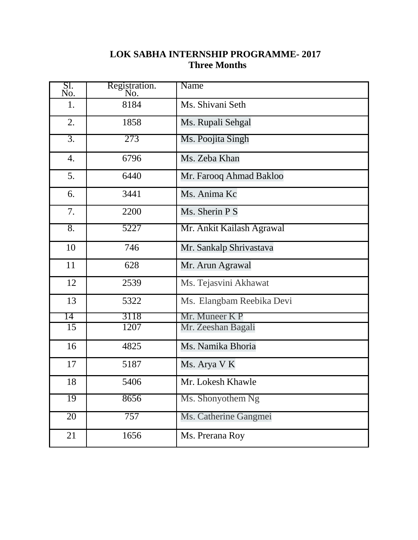#### **LOK SABHA INTERNSHIP PROGRAMME- 2017 Three Months**

| SI.<br>No.       | Registration.<br>No. | Name                      |
|------------------|----------------------|---------------------------|
| 1.               | 8184                 | Ms. Shivani Seth          |
| 2.               | 1858                 | Ms. Rupali Sehgal         |
| $\overline{3}$ . | 273                  | Ms. Poojita Singh         |
| 4.               | 6796                 | Ms. Zeba Khan             |
| 5.               | 6440                 | Mr. Farooq Ahmad Bakloo   |
| 6.               | 3441                 | Ms. Anima Kc              |
| 7.               | 2200                 | Ms. Sherin P S            |
| $\overline{8}$ . | 5227                 | Mr. Ankit Kailash Agrawal |
| 10               | 746                  | Mr. Sankalp Shrivastava   |
| 11               | 628                  | Mr. Arun Agrawal          |
| 12               | 2539                 | Ms. Tejasvini Akhawat     |
| 13               | 5322                 | Ms. Elangbam Reebika Devi |
| 14               | 3118                 | Mr. Muneer K P            |
| 15               | 1207                 | Mr. Zeeshan Bagali        |
| 16               | 4825                 | Ms. Namika Bhoria         |
| 17               | 5187                 | Ms. Arya V K              |
| 18               | 5406                 | Mr. Lokesh Khawle         |
| 19               | 8656                 | Ms. Shonyothem Ng         |
| 20               | 757                  | Ms. Catherine Gangmei     |
| 21               | 1656                 | Ms. Prerana Roy           |